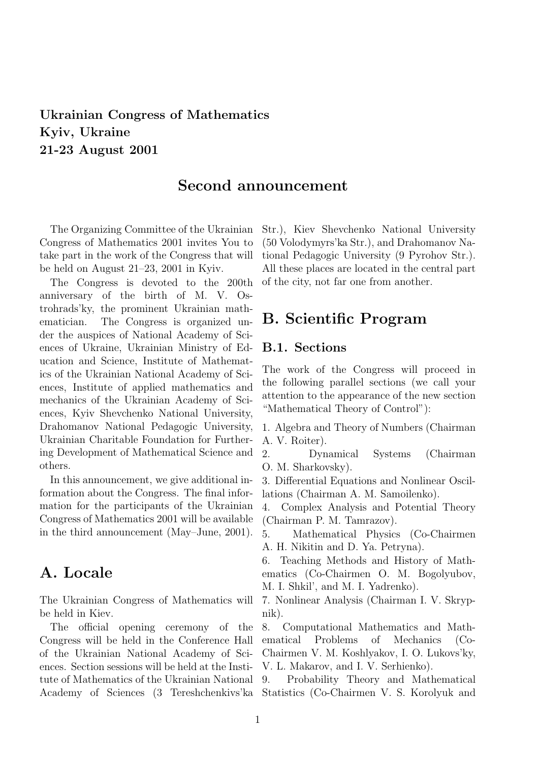## Ukrainian Congress of Mathematics Kyiv, Ukraine 21-23 August 2001

#### Second announcement

The Organizing Committee of the Ukrainian Congress of Mathematics 2001 invites You to take part in the work of the Congress that will be held on August 21–23, 2001 in Kyiv.

The Congress is devoted to the 200th anniversary of the birth of M. V. Ostrohrads'ky, the prominent Ukrainian mathematician. The Congress is organized under the auspices of National Academy of Sciences of Ukraine, Ukrainian Ministry of Education and Science, Institute of Mathematics of the Ukrainian National Academy of Sciences, Institute of applied mathematics and mechanics of the Ukrainian Academy of Sciences, Kyiv Shevchenko National University, Drahomanov National Pedagogic University, Ukrainian Charitable Foundation for Furthering Development of Mathematical Science and others.

In this announcement, we give additional information about the Congress. The final information for the participants of the Ukrainian Congress of Mathematics 2001 will be available in the third announcement (May–June, 2001).

## A. Locale

The Ukrainian Congress of Mathematics will be held in Kiev.

The official opening ceremony of the Congress will be held in the Conference Hall of the Ukrainian National Academy of Sciences. Section sessions will be held at the Institute of Mathematics of the Ukrainian National Academy of Sciences (3 Tereshchenkivs'ka Statistics (Co-Chairmen V. S. Korolyuk and

Str.), Kiev Shevchenko National University (50 Volodymyrs'ka Str.), and Drahomanov National Pedagogic University (9 Pyrohov Str.). All these places are located in the central part of the city, not far one from another.

#### B. Scientific Program

#### B.1. Sections

The work of the Congress will proceed in the following parallel sections (we call your attention to the appearance of the new section "Mathematical Theory of Control"):

1. Algebra and Theory of Numbers (Chairman A. V. Roiter).

2. Dynamical Systems (Chairman O. M. Sharkovsky).

3. Differential Equations and Nonlinear Oscillations (Chairman A. M. Samoilenko).

4. Complex Analysis and Potential Theory (Chairman P. M. Tamrazov).

5. Mathematical Physics (Co-Chairmen A. H. Nikitin and D. Ya. Petryna).

6. Teaching Methods and History of Mathematics (Co-Chairmen O. M. Bogolyubov, M. I. Shkil', and M. I. Yadrenko).

7. Nonlinear Analysis (Chairman I. V. Skrypnik).

8. Computational Mathematics and Mathematical Problems of Mechanics (Co-Chairmen V. M. Koshlyakov, I. O. Lukovs'ky, V. L. Makarov, and I. V. Serhienko).

9. Probability Theory and Mathematical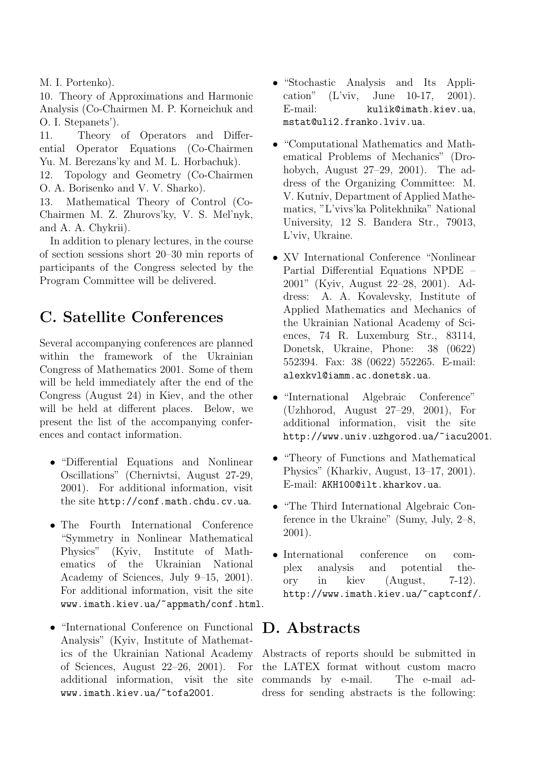M. I. Portenko).

10. Theory of Approximations and Harmonic Analysis (Co-Chairmen M. P. Korneichuk and O. I. Stepanets').

11. Theory of Operators and Differential Operator Equations (Co-Chairmen Yu. M. Berezans'ky and M. L. Horbachuk).

12. Topology and Geometry (Co-Chairmen O. A. Borisenko and V. V. Sharko).

13. Mathematical Theory of Control (Co-Chairmen M. Z. Zhurovs'ky, V. S. Mel'nyk, and A. A. Chykrii).

In addition to plenary lectures, in the course of section sessions short 20–30 min reports of participants of the Congress selected by the Program Committee will be delivered.

# C. Satellite Conferences

Several accompanying conferences are planned within the framework of the Ukrainian Congress of Mathematics 2001. Some of them will be held immediately after the end of the Congress (August 24) in Kiev, and the other will be held at different places. Below, we present the list of the accompanying conferences and contact information.

- "Differential Equations and Nonlinear Oscillations" (Chernivtsi, August 27-29, 2001). For additional information, visit the site http://conf.math.chdu.cv.ua.
- The Fourth International Conference "Symmetry in Nonlinear Mathematical Physics" (Kyiv, Institute of Mathematics of the Ukrainian National Academy of Sciences, July 9–15, 2001). For additional information, visit the site www.imath.kiev.ua/~appmath/conf.html.
- "International Conference on Functional Analysis" (Kyiv, Institute of Mathematics of the Ukrainian National Academy of Sciences, August 22–26, 2001). For additional information, visit the site www.imath.kiev.ua/~tofa2001.
- "Stochastic Analysis and Its Application" (L'viv, June 10-17, 2001). E-mail: kulik@imath.kiev.ua, mstat@uli2.franko.lviv.ua.
- "Computational Mathematics and Mathematical Problems of Mechanics" (Drohobych, August 27–29, 2001). The address of the Organizing Committee: M. V. Kutniv, Department of Applied Mathematics, "L'vivs'ka Politekhnika" National University, 12 S. Bandera Str., 79013, L'viv, Ukraine.
- XV International Conference "Nonlinear Partial Differential Equations NPDE – 2001" (Kyiv, August 22–28, 2001). Address: A. A. Kovalevsky, Institute of Applied Mathematics and Mechanics of the Ukrainian National Academy of Sciences, 74 R. Luxemburg Str., 83114, Donetsk, Ukraine, Phone: 38 (0622) 552394. Fax: 38 (0622) 552265. E-mail: alexkvl@iamm.ac.donetsk.ua.
- "International Algebraic Conference" (Uzhhorod, August 27–29, 2001), For additional information, visit the site http://www.univ.uzhgorod.ua/~iacu2001.
- "Theory of Functions and Mathematical Physics" (Kharkiv, August, 13–17, 2001). E-mail: AKH100@ilt.kharkov.ua.
- "The Third International Algebraic Conference in the Ukraine" (Sumy, July, 2–8, 2001).
- International conference on complex analysis and potential theory in kiev (August, 7-12). http://www.imath.kiev.ua/~captconf/.

### D. Abstracts

Abstracts of reports should be submitted in the LATEX format without custom macro commands by e-mail. The e-mail address for sending abstracts is the following: